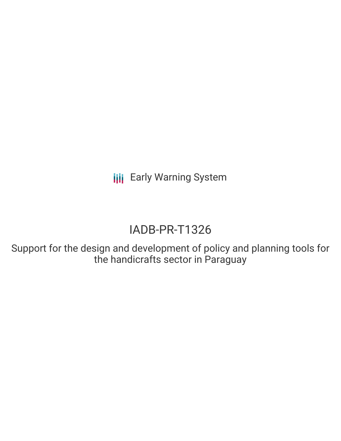**III** Early Warning System

# IADB-PR-T1326

Support for the design and development of policy and planning tools for the handicrafts sector in Paraguay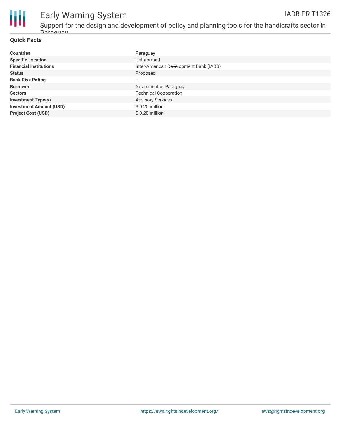

# Early Warning System

Support for the design and development of policy and planning tools for the handicrafts sector in Paraguay

#### **Quick Facts**

| <b>Countries</b>               | Paraguay                               |
|--------------------------------|----------------------------------------|
| <b>Specific Location</b>       | Uninformed                             |
| <b>Financial Institutions</b>  | Inter-American Development Bank (IADB) |
| <b>Status</b>                  | Proposed                               |
| <b>Bank Risk Rating</b>        |                                        |
| <b>Borrower</b>                | Goverment of Paraguay                  |
| <b>Sectors</b>                 | <b>Technical Cooperation</b>           |
| <b>Investment Type(s)</b>      | <b>Advisory Services</b>               |
| <b>Investment Amount (USD)</b> | $$0.20$ million                        |
| <b>Project Cost (USD)</b>      | $$0.20$ million                        |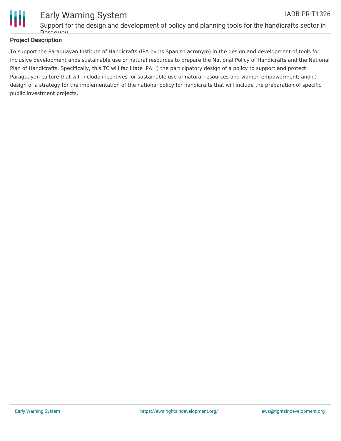

### Early Warning System IADB-PR-T1326

Support for the design and development of policy and planning tools for the handicrafts sector in Daraguay

### **Project Description**

To support the Paraguayan Institute of Handicrafts (IPA by its Spanish acronym) in the design and development of tools for inclusive development ands sustainable use or natural resources to prepare the National Policy of Handicrafts and the National Plan of Handicrafts. Specifically, this TC will facilitate IPA: i) the participatory design of a policy to support and protect Paraguayan culture that will include incentives for sustainable use of natural resources and women empowerment; and ii) design of a strategy for the implementation of the national policy for handicrafts that will include the preparation of specific public investment projects.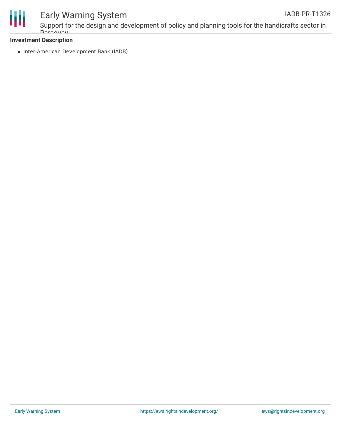

# Early Warning System

Support for the design and development of policy and planning tools for the handicrafts sector in **Daraguay** 

#### **Investment Description**

• Inter-American Development Bank (IADB)